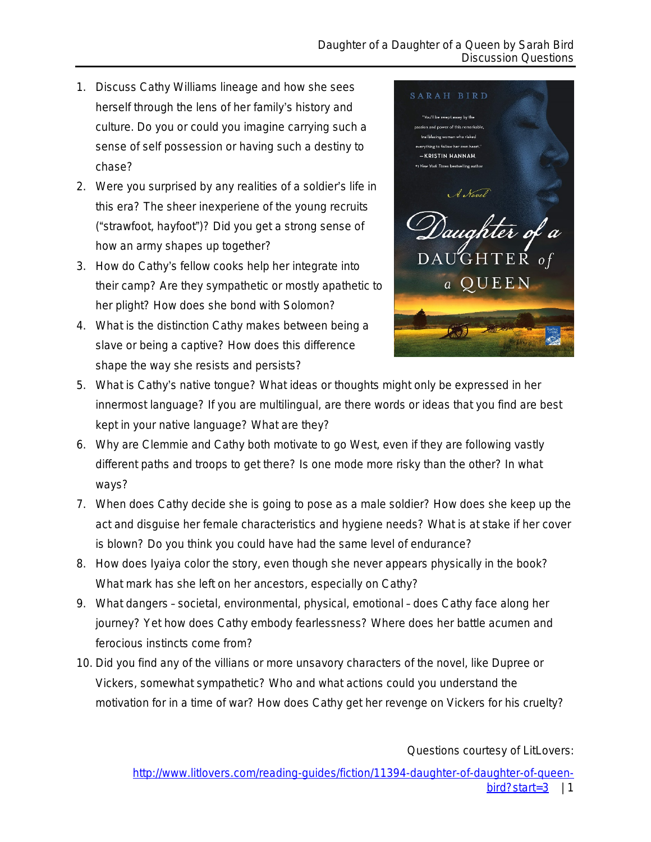- 1. Discuss Cathy Williams lineage and how she sees herself through the lens of her family's history and culture. Do you or could you imagine carrying such a sense of self possession or having such a destiny to chase?
- 2. Were you surprised by any realities of a soldier's life in this era? The sheer inexperiene of the young recruits ("strawfoot, hayfoot")? Did you get a strong sense of how an army shapes up together?
- 3. How do Cathy's fellow cooks help her integrate into their camp? Are they sympathetic or mostly apathetic to her plight? How does she bond with Solomon?
- 4. What is the distinction Cathy makes between being a slave or being a captive? How does this difference shape the way she resists and persists?



- 5. What is Cathy's native tongue? What ideas or thoughts might only be expressed in her innermost language? If you are multilingual, are there words or ideas that you find are best kept in your native language? What are they?
- 6. Why are Clemmie and Cathy both motivate to go West, even if they are following vastly different paths and troops to get there? Is one mode more risky than the other? In what ways?
- 7. When does Cathy decide she is going to pose as a male soldier? How does she keep up the act and disguise her female characteristics and hygiene needs? What is at stake if her cover is blown? Do you think you could have had the same level of endurance?
- 8. How does Iyaiya color the story, even though she never appears physically in the book? What mark has she left on her ancestors, especially on Cathy?
- 9. What dangers societal, environmental, physical, emotional does Cathy face along her journey? Yet how does Cathy embody fearlessness? Where does her battle acumen and ferocious instincts come from?
- 10. Did you find any of the villians or more unsavory characters of the novel, like Dupree or Vickers, somewhat sympathetic? Who and what actions could you understand the motivation for in a time of war? How does Cathy get her revenge on Vickers for his cruelty?

Questions courtesy of LitLovers:

[http://www.litlovers.com/reading-guides/fiction/11394-daughter-of-daughter-of-queen](http://www.litlovers.com/reading-guides/fiction/11394-daughter-of-daughter-of-queen-bird?start=3) $bird?start=3$  | 1